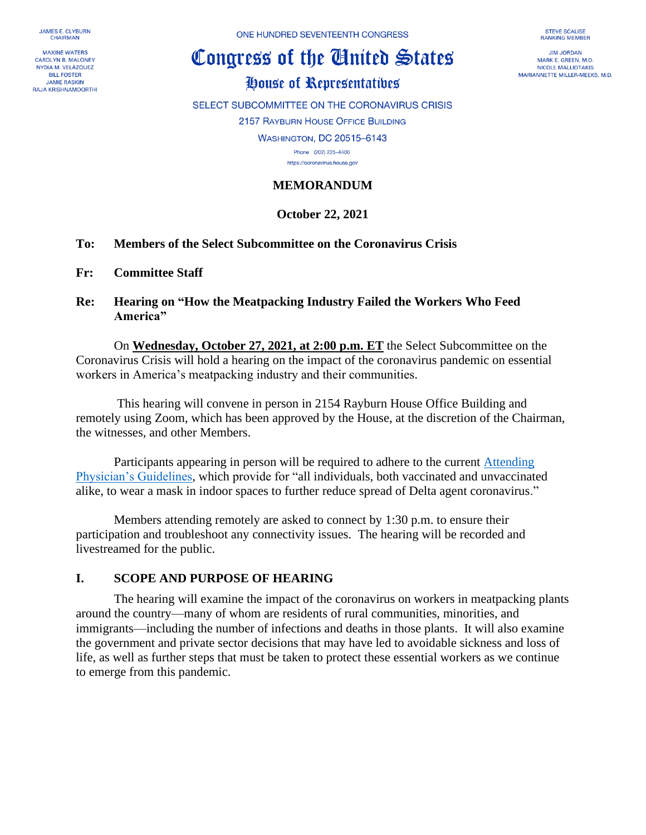**JAMES E. CLYBURN CHAIRMAN** 

**MAXINE WATERS CAROLYN B. MALONEY** NYDIA M. VELÁZQUEZ **BILL FOSTER JAMIE RASKIN RAJA KRISHNAMOORTHI**  ONE HUNDRED SEVENTEENTH CONGRESS

# Congress of the Cinited States

# House of Representatives

SELECT SUBCOMMITTEE ON THE CORONAVIRUS CRISIS

2157 RAYBURN HOUSE OFFICE BUILDING

WASHINGTON, DC 20515-6143

Phone (202) 225-4400 https://coronavirus.house.gov

#### **MEMORANDUM**

## **October 22, 2021**

- **To: Members of the Select Subcommittee on the Coronavirus Crisis**
- **Fr: Committee Staff**
- **Re: Hearing on "How the Meatpacking Industry Failed the Workers Who Feed America"**

On **Wednesday, October 27, 2021, at 2:00 p.m. ET** the Select Subcommittee on the Coronavirus Crisis will hold a hearing on the impact of the coronavirus pandemic on essential workers in America's meatpacking industry and their communities.

This hearing will convene in person in 2154 Rayburn House Office Building and remotely using Zoom, which has been approved by the House, at the discretion of the Chairman, the witnesses, and other Members.

Participants appearing in person will be required to adhere to the current [Attending](https://cha.house.gov/sites/democrats.cha.house.gov/files/DISTRIBUTION%20Verion%206%20%20Jun%2011%202021%20%20Attending%20Physician%20Pandemic%20%20Guidelines%20with%20summary.pdf)  [Physician's Guidelines,](https://cha.house.gov/sites/democrats.cha.house.gov/files/DISTRIBUTION%20Verion%206%20%20Jun%2011%202021%20%20Attending%20Physician%20Pandemic%20%20Guidelines%20with%20summary.pdf) which provide for "all individuals, both vaccinated and unvaccinated alike, to wear a mask in indoor spaces to further reduce spread of Delta agent coronavirus."

Members attending remotely are asked to connect by 1:30 p.m. to ensure their participation and troubleshoot any connectivity issues. The hearing will be recorded and livestreamed for the public.

#### **I. SCOPE AND PURPOSE OF HEARING**

The hearing will examine the impact of the coronavirus on workers in meatpacking plants around the country—many of whom are residents of rural communities, minorities, and immigrants—including the number of infections and deaths in those plants. It will also examine the government and private sector decisions that may have led to avoidable sickness and loss of life, as well as further steps that must be taken to protect these essential workers as we continue to emerge from this pandemic.

**STEVE SCALISE RANKING MEMBER** 

**IIM IORDAN** MARK E. GREEN, M.D. **NICOLE MALLIOTAKIS** MARIANNETTE MILLER-MEEKS, M.D.